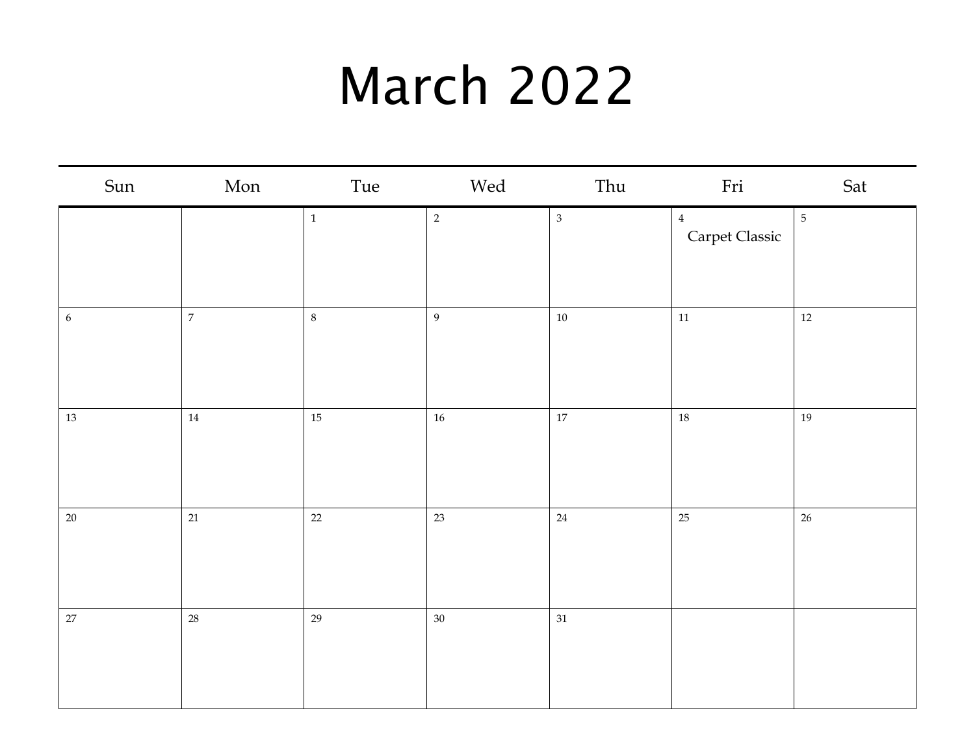#### March 2022

| Sun              | Mon            | Tue     | Wed              | Thu            | Fri                              | Sat            |
|------------------|----------------|---------|------------------|----------------|----------------------------------|----------------|
|                  |                | $\,1$   | $\overline{2}$   | $\mathfrak{Z}$ | $\overline{4}$<br>Carpet Classic | $\overline{5}$ |
| $\boldsymbol{6}$ | $\overline{7}$ | $\,8\,$ | $\boldsymbol{9}$ | $10\,$         | $11\,$                           | $12 \text{ }$  |
| $13\,$           | $14\,$         | $15\,$  | $16\,$           | $17\,$         | 18                               | 19             |
| $20\,$           | 21             | $22\,$  | 23               | $24\,$         | 25                               | $26\,$         |
| $27\,$           | 28             | 29      | $30\,$           | $31\,$         |                                  |                |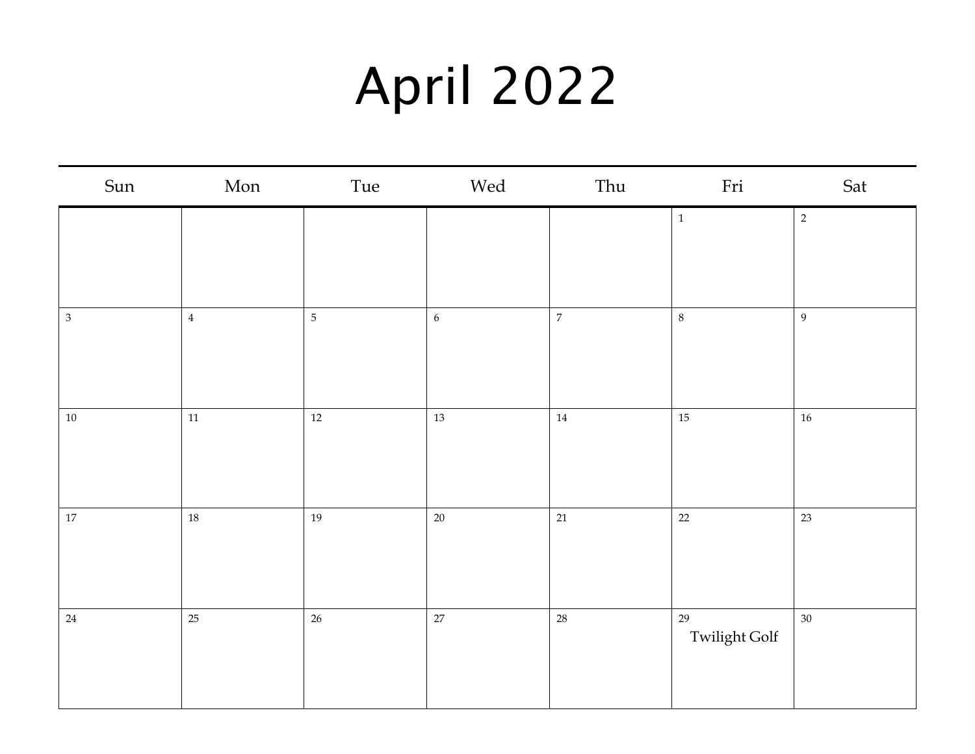## April 2022

| Sun<br>Mon        | Tue            | Wed              | Thu            | Fri           | Sat            |
|-------------------|----------------|------------------|----------------|---------------|----------------|
|                   |                |                  |                | $\,1\,$       | $\sqrt{2}$     |
|                   |                |                  |                |               |                |
|                   |                |                  |                |               |                |
| $\bf{4}$<br>$\,3$ | $\overline{5}$ | $\boldsymbol{6}$ | $\overline{7}$ | $\,8\,$       | $\overline{9}$ |
|                   |                |                  |                |               |                |
|                   |                |                  |                |               |                |
| $11\,$<br>$10\,$  | $12\,$         | 13               | $14\,$         | 15            | $16\,$         |
|                   |                |                  |                |               |                |
|                   |                |                  |                |               |                |
| $18\,$<br>$17\,$  | 19             | $20\,$           | 21             | 22            | 23             |
|                   |                |                  |                |               |                |
|                   |                |                  |                |               |                |
| 25<br>$24\,$      | $26\,$         | 27               | $28\,$         | 29            | $30\,$         |
|                   |                |                  |                | Twilight Golf |                |
|                   |                |                  |                |               |                |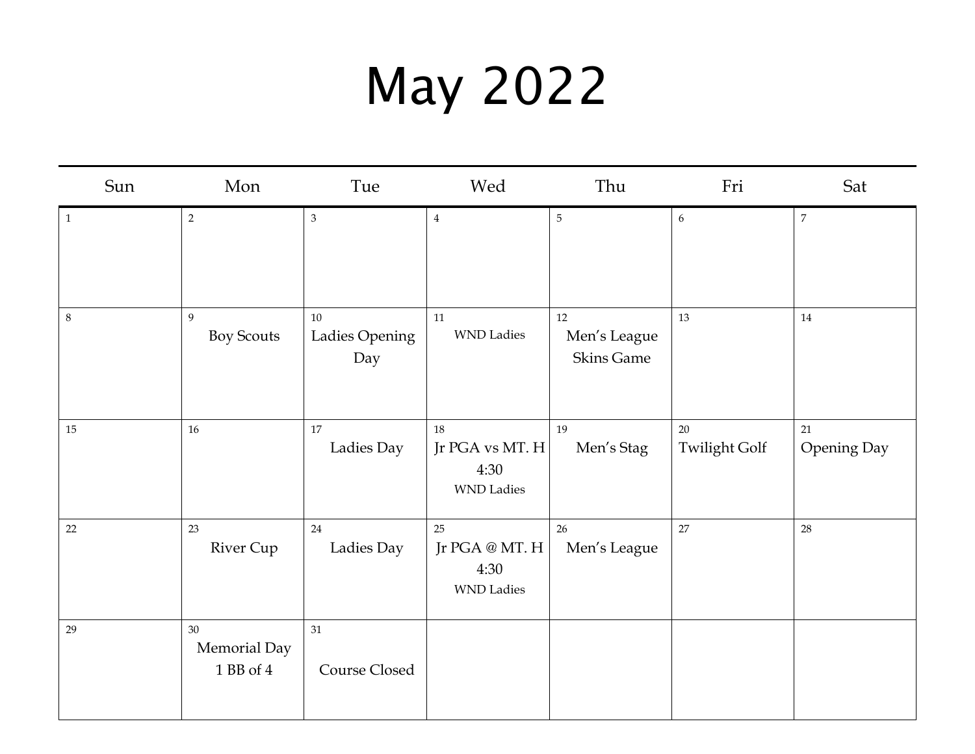## May 2022

| Sun          | Mon                             | Tue                         | Wed                                                           | Thu                                         | Fri                        | Sat                      |
|--------------|---------------------------------|-----------------------------|---------------------------------------------------------------|---------------------------------------------|----------------------------|--------------------------|
| $\mathbf{1}$ | $\overline{2}$                  | $\mathfrak{Z}$              | $\overline{4}$                                                | $\sqrt{5}$                                  | $\boldsymbol{6}$           | $\overline{7}$           |
| $\,8\,$      | 9<br><b>Boy Scouts</b>          | 10<br>Ladies Opening<br>Day | 11<br><b>WND</b> Ladies                                       | $12\,$<br>Men's League<br><b>Skins Game</b> | 13                         | 14                       |
| $15\,$       | $16\,$                          | $17\,$<br>Ladies Day        | 18<br>Jr PGA vs MT. $H$<br>4:30<br><b>WND</b> Ladies          | 19<br>Men's Stag                            | 20<br><b>Twilight Golf</b> | 21<br><b>Opening Day</b> |
| $22\,$       | 23<br><b>River Cup</b>          | 24<br>Ladies Day            | 25<br>Jr PGA $\circledast$ MT. H<br>4:30<br><b>WND</b> Ladies | 26<br>Men's League                          | 27                         | 28                       |
| 29           | 30<br>Memorial Day<br>1 BB of 4 | 31<br>Course Closed         |                                                               |                                             |                            |                          |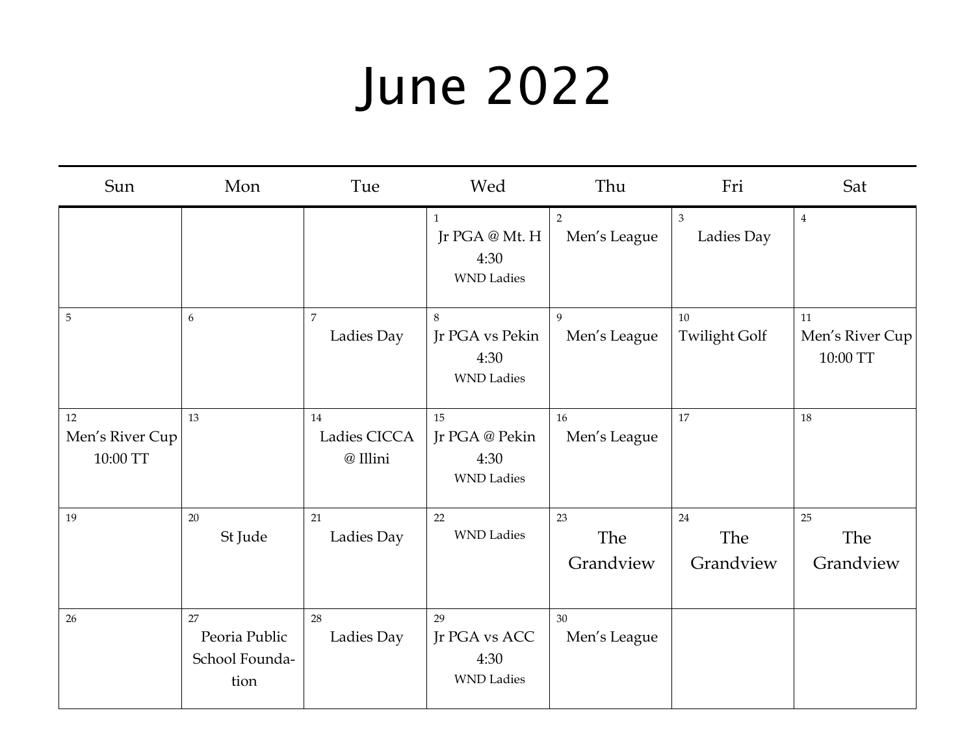## June 2022

| Sun                               | Mon                                           | Tue                            | Wed                                                         | Thu                            | Fri                          | Sat                               |
|-----------------------------------|-----------------------------------------------|--------------------------------|-------------------------------------------------------------|--------------------------------|------------------------------|-----------------------------------|
|                                   |                                               |                                | $\mathbf{1}$<br>Jr PGA @ Mt. H<br>4:30<br><b>WND Ladies</b> | $\overline{2}$<br>Men's League | $\overline{3}$<br>Ladies Day | $\overline{4}$                    |
| 5                                 | 6                                             | $\overline{7}$<br>Ladies Day   | 8<br>Jr PGA vs Pekin<br>4:30<br><b>WND Ladies</b>           | 9<br>Men's League              | 10<br><b>Twilight Golf</b>   | 11<br>Men's River Cup<br>10:00 TT |
| 12<br>Men's River Cup<br>10:00 TT | 13                                            | 14<br>Ladies CICCA<br>@ Illini | 15<br>Jr PGA @ Pekin<br>4:30<br><b>WND</b> Ladies           | 16<br>Men's League             | 17                           | 18                                |
| 19                                | 20<br>St Jude                                 | 21<br>Ladies Day               | 22<br><b>WND</b> Ladies                                     | 23<br>The<br>Grandview         | 24<br>The<br>Grandview       | 25<br>The<br>Grandview            |
| 26                                | 27<br>Peoria Public<br>School Founda-<br>tion | 28<br>Ladies Day               | 29<br>Jr PGA vs ACC<br>4:30<br><b>WND Ladies</b>            | 30<br>Men's League             |                              |                                   |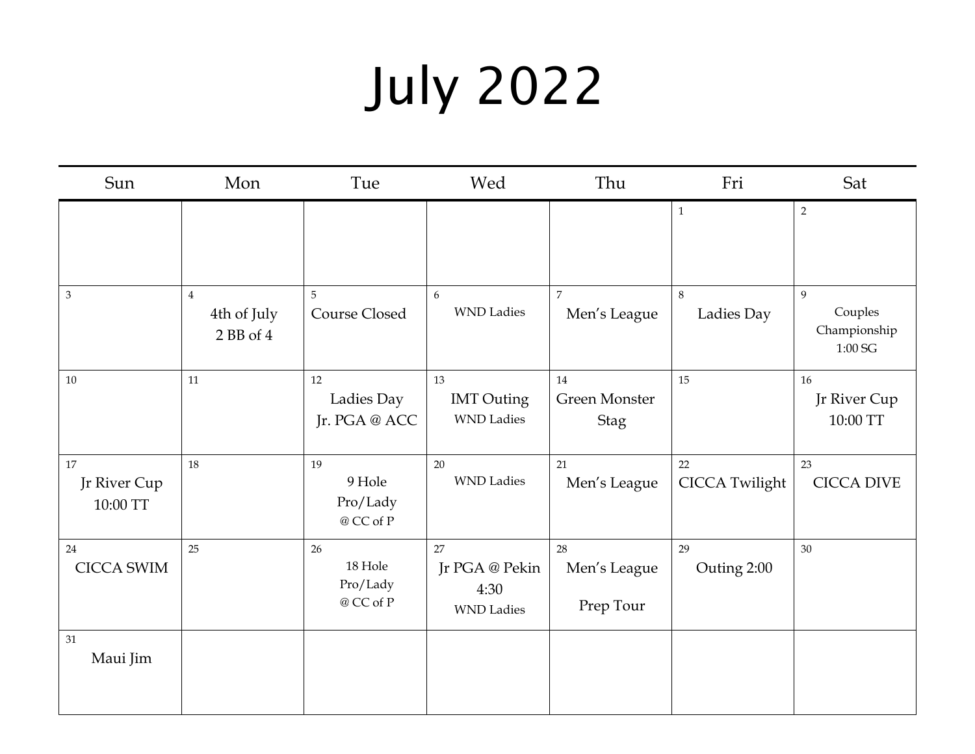# July 2022

| Sun                            | Mon                                        | Tue                                    | Wed                                               | Thu                                       | Fri                         | Sat                                     |
|--------------------------------|--------------------------------------------|----------------------------------------|---------------------------------------------------|-------------------------------------------|-----------------------------|-----------------------------------------|
|                                |                                            |                                        |                                                   |                                           | $\mathbf 1$                 | $\overline{2}$                          |
| $\mathfrak{Z}$                 | $\overline{4}$<br>4th of July<br>2 BB of 4 | 5<br>Course Closed                     | 6<br><b>WND</b> Ladies                            | 7<br>Men's League                         | 8<br>Ladies Day             | 9<br>Couples<br>Championship<br>1:00 SG |
| 10                             | 11                                         | 12<br>Ladies Day<br>Jr. PGA @ ACC      | 13<br><b>IMT</b> Outing<br><b>WND</b> Ladies      | 14<br><b>Green Monster</b><br><b>Stag</b> | 15                          | 16<br>Jr River Cup<br>10:00 TT          |
| 17<br>Jr River Cup<br>10:00 TT | 18                                         | 19<br>9 Hole<br>Pro/Lady<br>@ CC of P  | 20<br><b>WND</b> Ladies                           | 21<br>Men's League                        | 22<br><b>CICCA Twilight</b> | 23<br><b>CICCA DIVE</b>                 |
| 24<br><b>CICCA SWIM</b>        | 25                                         | 26<br>18 Hole<br>Pro/Lady<br>@ CC of P | 27<br>Jr PGA @ Pekin<br>4:30<br><b>WND</b> Ladies | 28<br>Men's League<br>Prep Tour           | 29<br>Outing 2:00           | 30                                      |
| 31<br>Maui Jim                 |                                            |                                        |                                                   |                                           |                             |                                         |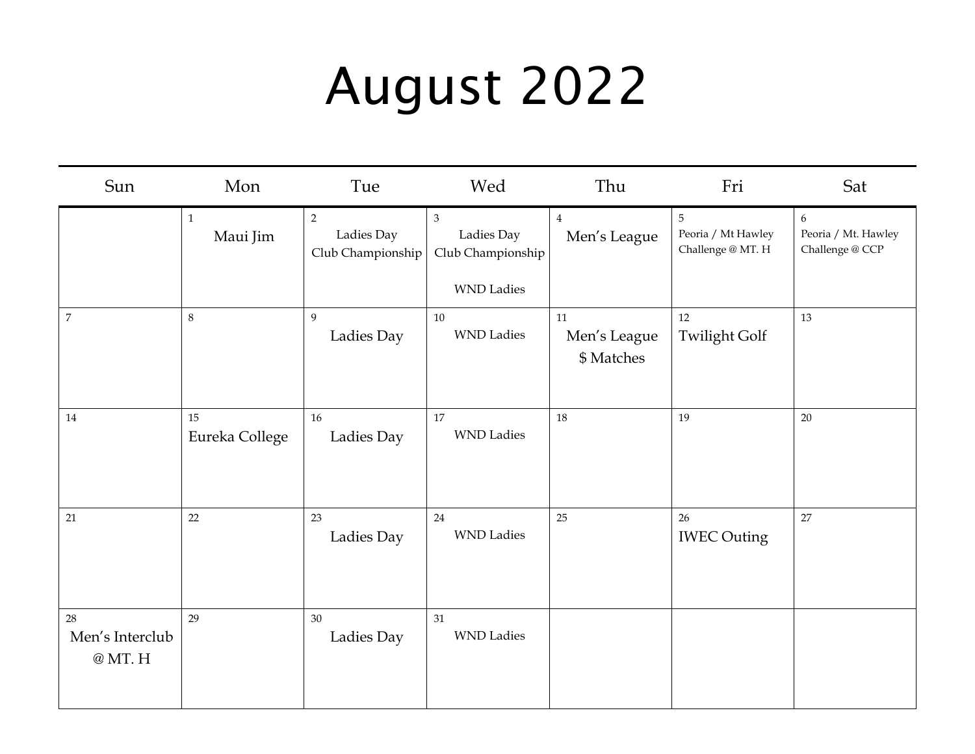## August 2022

| Sun                                | Mon                     | Tue                                               | Wed                                                                    | Thu                              | Fri                                                       | Sat                                         |
|------------------------------------|-------------------------|---------------------------------------------------|------------------------------------------------------------------------|----------------------------------|-----------------------------------------------------------|---------------------------------------------|
|                                    | $\mathbf 1$<br>Maui Jim | $\overline{2}$<br>Ladies Day<br>Club Championship | $\mathfrak{Z}$<br>Ladies Day<br>Club Championship<br><b>WND</b> Ladies | $\bf 4$<br>Men's League          | $\overline{5}$<br>Peoria / Mt Hawley<br>Challenge @ MT. H | 6<br>Peoria / Mt. Hawley<br>Challenge @ CCP |
| $\boldsymbol{7}$                   | $\,8\,$                 | 9<br>Ladies Day                                   | 10<br><b>WND Ladies</b>                                                | 11<br>Men's League<br>\$ Matches | 12<br><b>Twilight Golf</b>                                | 13                                          |
| $14\,$                             | 15<br>Eureka College    | 16<br>Ladies Day                                  | 17<br><b>WND</b> Ladies                                                | $18\,$                           | 19                                                        | $20\,$                                      |
| 21                                 | $22\,$                  | 23<br>Ladies Day                                  | 24<br><b>WND</b> Ladies                                                | 25                               | 26<br><b>IWEC Outing</b>                                  | $27\,$                                      |
| 28<br>Men's Interclub<br>$@$ MT. H | 29                      | 30<br>Ladies Day                                  | 31<br><b>WND</b> Ladies                                                |                                  |                                                           |                                             |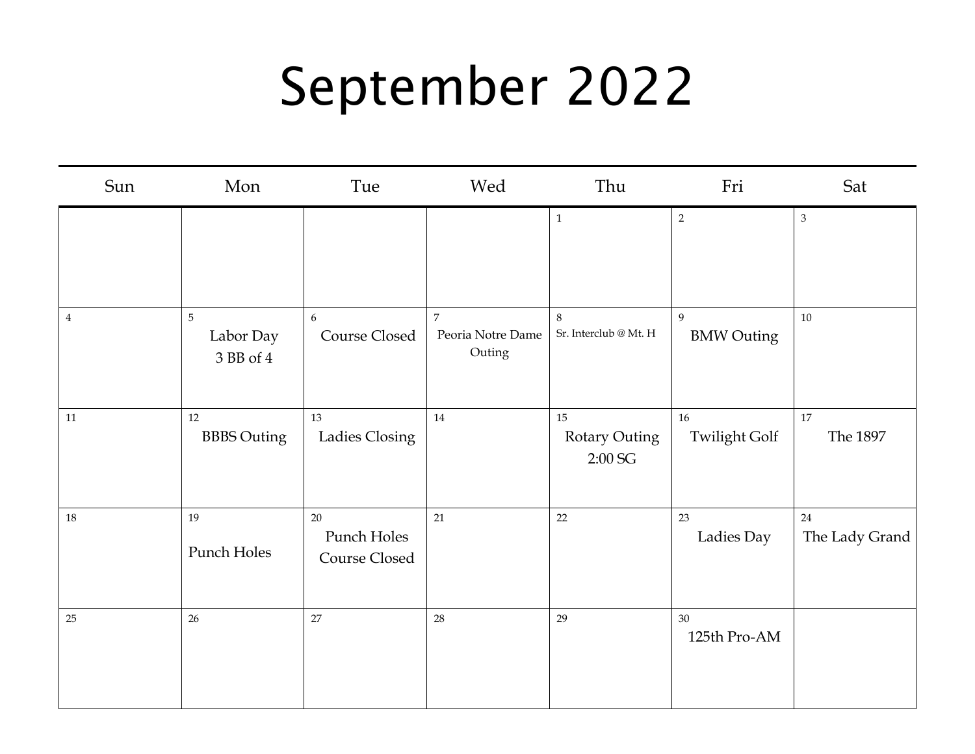## September 2022

| Sun            | Mon                         | Tue                                | Wed                                           | Thu                                            | Fri                        | Sat                  |
|----------------|-----------------------------|------------------------------------|-----------------------------------------------|------------------------------------------------|----------------------------|----------------------|
|                |                             |                                    |                                               | $\,1\,$                                        | $\overline{2}$             | $\mathfrak{Z}$       |
| $\overline{4}$ | 5<br>Labor Day<br>3 BB of 4 | 6<br>Course Closed                 | $\overline{7}$<br>Peoria Notre Dame<br>Outing | $\,8\,$<br>Sr. Interclub $@$ Mt. $\mathbb H$   | 9<br><b>BMW Outing</b>     | 10                   |
| $11\,$         | 12<br><b>BBBS</b> Outing    | 13<br>Ladies Closing               | 14                                            | 15<br><b>Rotary Outing</b><br>$2:00\text{ SG}$ | 16<br><b>Twilight Golf</b> | 17<br>The 1897       |
| $18\,$         | 19<br>Punch Holes           | 20<br>Punch Holes<br>Course Closed | 21                                            | 22                                             | 23<br>Ladies Day           | 24<br>The Lady Grand |
| $25\,$         | $26\,$                      | 27                                 | 28                                            | 29                                             | 30<br>125th Pro-AM         |                      |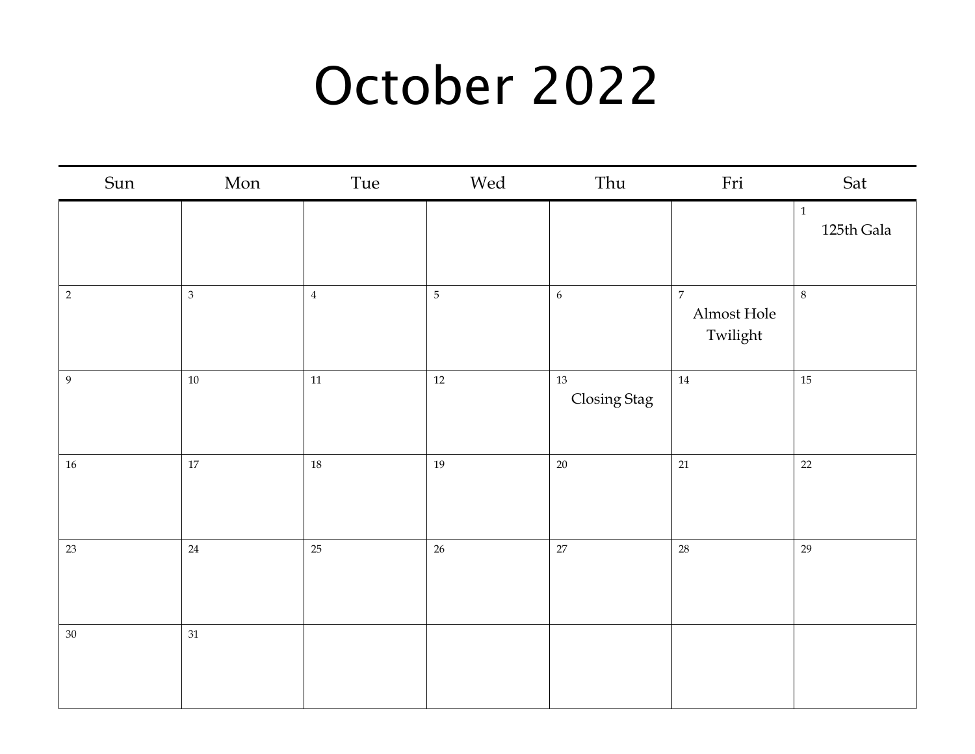#### October 2022

| Sun              | Mon            | Tue    | Wed        | Thu                    | Fri                                         | Sat                        |
|------------------|----------------|--------|------------|------------------------|---------------------------------------------|----------------------------|
|                  |                |        |            |                        |                                             | $\mathbf{1}$<br>125th Gala |
| $\sqrt{2}$       | $\overline{3}$ | $\,4$  | $\sqrt{5}$ | $\sqrt{6}$             | $\boldsymbol{7}$<br>Almost Hole<br>Twilight | $\,8\,$                    |
| $\boldsymbol{9}$ | $10\,$         | $11\,$ | $12\,$     | $13\,$<br>Closing Stag | 14                                          | $15\,$                     |
| $16\,$           | $17\,$         | 18     | 19         | $20\,$                 | 21                                          | 22                         |
| 23               | $24\,$         | 25     | $26\,$     | $27\,$                 | 28                                          | 29                         |
| $30\,$           | $31\,$         |        |            |                        |                                             |                            |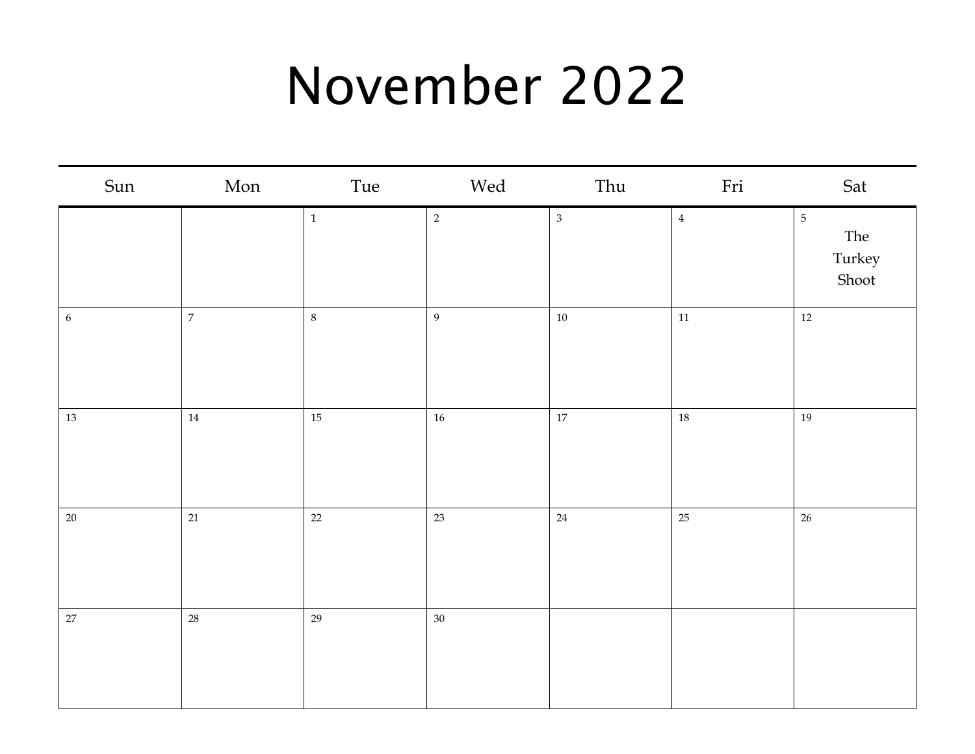### November 2022

| Sun        | Mon            | Tue   | Wed              | Thu            | Fri    | Sat                                      |
|------------|----------------|-------|------------------|----------------|--------|------------------------------------------|
|            |                | $\,1$ | $\overline{2}$   | $\mathfrak{Z}$ | $\,4$  | $\overline{5}$<br>The<br>Turkey<br>Shoot |
| $\epsilon$ | $\overline{7}$ | $8\,$ | $\boldsymbol{9}$ | $10\,$         | $11\,$ | $12\,$                                   |
| $13\,$     | $14\,$         | 15    | $16\,$           | $17\,$         | 18     | 19                                       |
| $20\,$     | $21\,$         | 22    | 23               | $24\,$         | 25     | $26\,$                                   |
| $27\,$     | $28\,$         | 29    | $30\,$           |                |        |                                          |